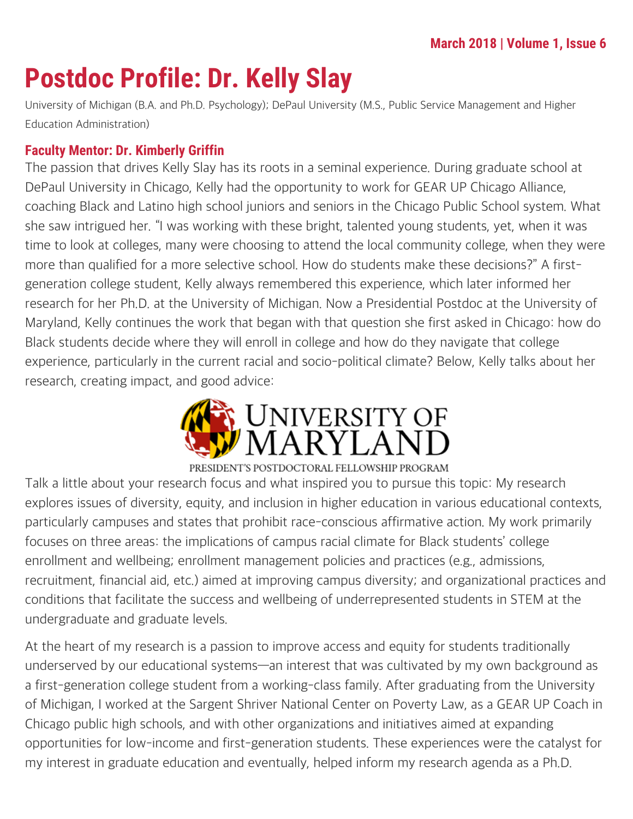# **Postdoc Profile: Dr. Kelly Slay**

University of Michigan (B.A. and Ph.D. Psychology); DePaul University (M.S., Public Service Management and Higher Education Administration)

#### **Faculty Mentor: Dr. Kimberly Griffin**

The passion that drives Kelly Slay has its roots in a seminal experience. During graduate school at DePaul University in Chicago, Kelly had the opportunity to work for GEAR UP Chicago Alliance, coaching Black and Latino high school juniors and seniors in the Chicago Public School system. What she saw intrigued her. "I was working with these bright, talented young students, yet, when it was time to look at colleges, many were choosing to attend the local community college, when they were more than qualified for a more selective school. How do students make these decisions?" A firstgeneration college student, Kelly always remembered this experience, which later informed her research for her Ph.D. at the University of Michigan. Now a Presidential Postdoc at the University of Maryland, Kelly continues the work that began with that question she first asked in Chicago: how do Black students decide where they will enroll in college and how do they navigate that college experience, particularly in the current racial and socio-political climate? Below, Kelly talks about her research, creating impact, and good advice:



#### PRESIDENT'S POSTDOCTORAL FELLOWSHIP PROGRAM

Talk a little about your research focus and what inspired you to pursue this topic: My research explores issues of diversity, equity, and inclusion in higher education in various educational contexts, particularly campuses and states that prohibit race-conscious affirmative action. My work primarily focuses on three areas: the implications of campus racial climate for Black students' college enrollment and wellbeing; enrollment management policies and practices (e.g., admissions, recruitment, financial aid, etc.) aimed at improving campus diversity; and organizational practices and conditions that facilitate the success and wellbeing of underrepresented students in STEM at the undergraduate and graduate levels.

At the heart of my research is a passion to improve access and equity for students traditionally underserved by our educational systems—an interest that was cultivated by my own background as a first-generation college student from a working-class family. After graduating from the University of Michigan, I worked at the Sargent Shriver National Center on Poverty Law, as a GEAR UP Coach in Chicago public high schools, and with other organizations and initiatives aimed at expanding opportunities for low-income and first-generation students. These experiences were the catalyst for my interest in graduate education and eventually, helped inform my research agenda as a Ph.D.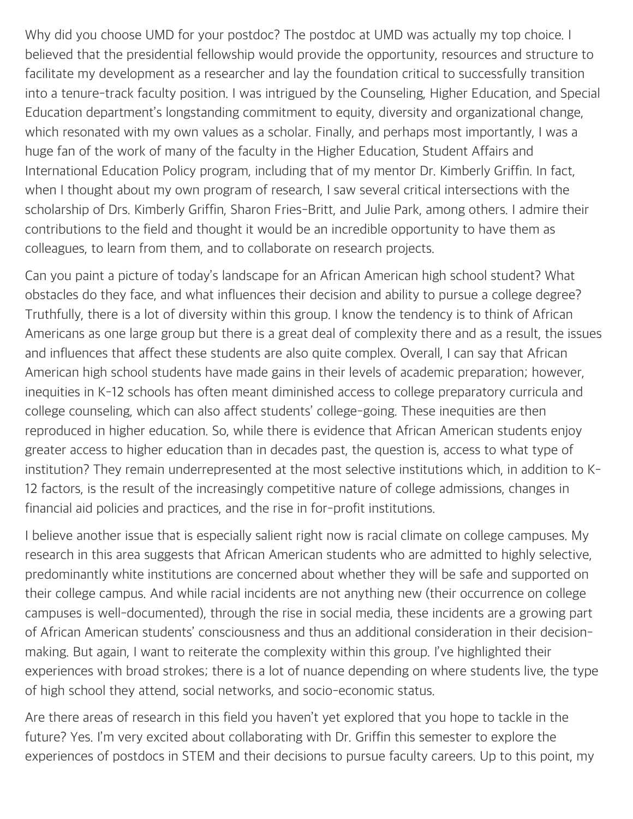Why did you choose UMD for your postdoc? The postdoc at UMD was actually my top choice. I believed that the presidential fellowship would provide the opportunity, resources and structure to facilitate my development as a researcher and lay the foundation critical to successfully transition into a tenure-track faculty position. I was intrigued by the Counseling, Higher Education, and Special Education department's longstanding commitment to equity, diversity and organizational change, which resonated with my own values as a scholar. Finally, and perhaps most importantly, I was a huge fan of the work of many of the faculty in the Higher Education, Student Affairs and International Education Policy program, including that of my mentor Dr. Kimberly Griffin. In fact, when I thought about my own program of research, I saw several critical intersections with the scholarship of Drs. Kimberly Griffin, Sharon Fries-Britt, and Julie Park, among others. I admire their contributions to the field and thought it would be an incredible opportunity to have them as colleagues, to learn from them, and to collaborate on research projects.

Can you paint a picture of today's landscape for an African American high school student? What obstacles do they face, and what influences their decision and ability to pursue a college degree? Truthfully, there is a lot of diversity within this group. I know the tendency is to think of African Americans as one large group but there is a great deal of complexity there and as a result, the issues and influences that affect these students are also quite complex. Overall, I can say that African American high school students have made gains in their levels of academic preparation; however, inequities in K-12 schools has often meant diminished access to college preparatory curricula and college counseling, which can also affect students' college-going. These inequities are then reproduced in higher education. So, while there is evidence that African American students enjoy greater access to higher education than in decades past, the question is, access to what type of institution? They remain underrepresented at the most selective institutions which, in addition to K-12 factors, is the result of the increasingly competitive nature of college admissions, changes in financial aid policies and practices, and the rise in for-profit institutions.

I believe another issue that is especially salient right now is racial climate on college campuses. My research in this area suggests that African American students who are admitted to highly selective, predominantly white institutions are concerned about whether they will be safe and supported on their college campus. And while racial incidents are not anything new (their occurrence on college campuses is well-documented), through the rise in social media, these incidents are a growing part of African American students' consciousness and thus an additional consideration in their decisionmaking. But again, I want to reiterate the complexity within this group. I've highlighted their experiences with broad strokes; there is a lot of nuance depending on where students live, the type of high school they attend, social networks, and socio-economic status.

Are there areas of research in this field you haven't yet explored that you hope to tackle in the future? Yes. I'm very excited about collaborating with Dr. Griffin this semester to explore the experiences of postdocs in STEM and their decisions to pursue faculty careers. Up to this point, my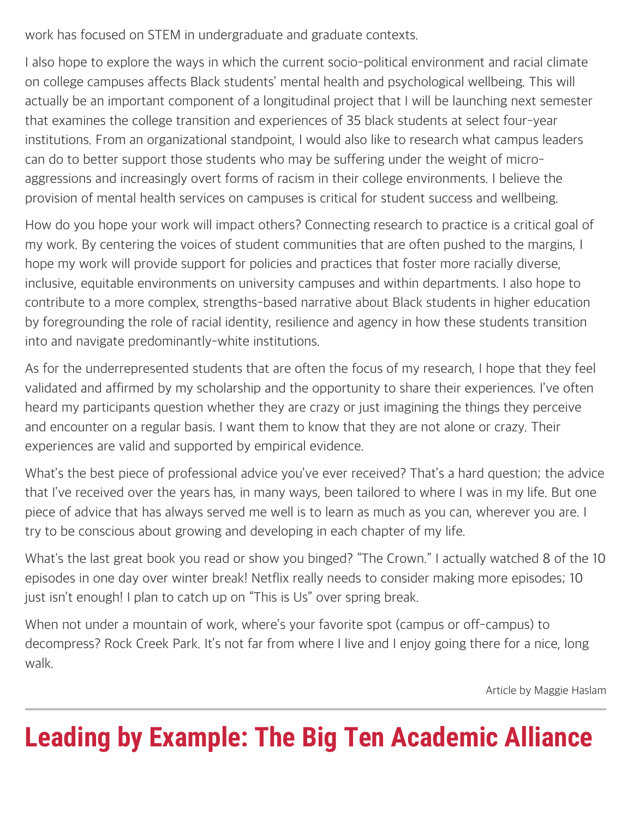work has focused on STEM in undergraduate and graduate contexts.

I also hope to explore the ways in which the current socio-political environment and racial climate on college campuses affects Black students' mental health and psychological wellbeing. This will actually be an important component of a longitudinal project that I will be launching next semester that examines the college transition and experiences of 35 black students at select four-year institutions. From an organizational standpoint, I would also like to research what campus leaders can do to better support those students who may be suffering under the weight of microaggressions and increasingly overt forms of racism in their college environments. I believe the provision of mental health services on campuses is critical for student success and wellbeing.

How do you hope your work will impact others? Connecting research to practice is a critical goal of my work. By centering the voices of student communities that are often pushed to the margins, I hope my work will provide support for policies and practices that foster more racially diverse, inclusive, equitable environments on university campuses and within departments. I also hope to contribute to a more complex, strengths-based narrative about Black students in higher education by foregrounding the role of racial identity, resilience and agency in how these students transition into and navigate predominantly-white institutions.

As for the underrepresented students that are often the focus of my research, I hope that they feel validated and affirmed by my scholarship and the opportunity to share their experiences. I've often heard my participants question whether they are crazy or just imagining the things they perceive and encounter on a regular basis. I want them to know that they are not alone or crazy. Their experiences are valid and supported by empirical evidence.

What's the best piece of professional advice you've ever received? That's a hard question; the advice that I've received over the years has, in many ways, been tailored to where I was in my life. But one piece of advice that has always served me well is to learn as much as you can, wherever you are. I try to be conscious about growing and developing in each chapter of my life.

What's the last great book you read or show you binged? "The Crown." I actually watched 8 of the 10 episodes in one day over winter break! Netflix really needs to consider making more episodes; 10 just isn't enough! I plan to catch up on "This is Us" over spring break.

When not under a mountain of work, where's your favorite spot (campus or off-campus) to decompress? Rock Creek Park. It's not far from where I live and I enjoy going there for a nice, long walk.

Article by Maggie Haslam

# **Leading by Example: The Big Ten Academic Alliance**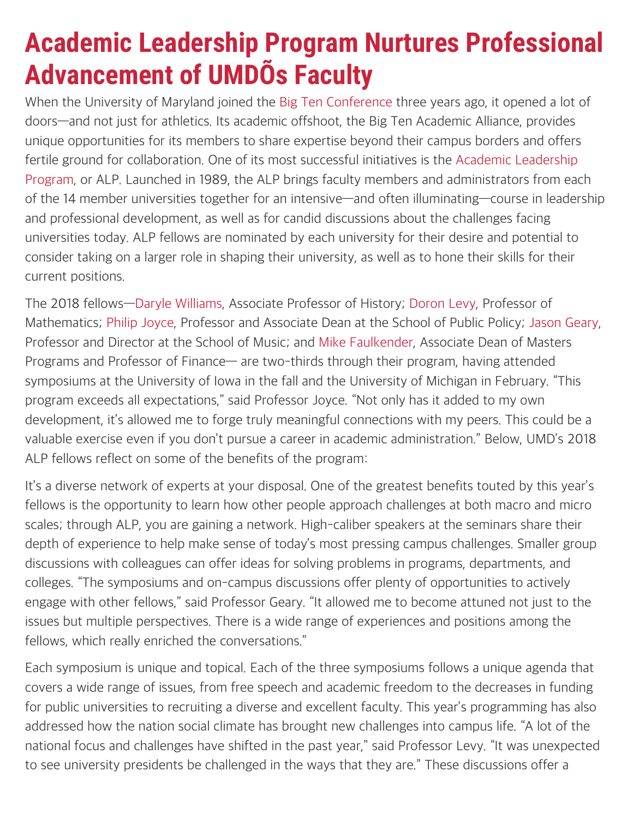## **Academic Leadership Program Nurtures Professional Advancement of UMDOS Faculty**

When the University of Maryland joined the [Big Ten Conference](http://www.bigten.org/) three years ago, it opened a lot of doors—and not just for athletics. Its academic offshoot, the Big Ten Academic Alliance, provides unique opportunities for its members to share expertise beyond their campus borders and offers fertile ground for collaboration. One of its most successful initiatives is the [Academic Leadership](https://www.btaa.org/leadership/alp/introduction) [Program](https://www.btaa.org/leadership/alp/introduction), or ALP. Launched in 1989, the ALP brings faculty members and administrators from each of the 14 member universities together for an intensive—and often illuminating—course in leadership and professional development, as well as for candid discussions about the challenges facing universities today. ALP fellows are nominated by each university for their desire and potential to consider taking on a larger role in shaping their university, as well as to hone their skills for their current positions.

The 2018 fellows[—Daryle Williams](http://faculty.history.umd.edu/DWilliams/), Associate Professor of History; [Doron Levy](http://www.math.umd.edu/~dlevy/), Professor of Mathematics; [Philip Joyce](https://www.publicpolicy.umd.edu/faculty/philip-joyce), Professor and Associate Dean at the School of Public Policy; [Jason Geary](http://www.music.umd.edu/faculty/music_directory/administration_and_staff/jason-geary), Professor and Director at the School of Music; and [Mike Faulkender,](https://www.rhsmith.umd.edu/directory/michael-faulkender) Associate Dean of Masters Programs and Professor of Finance— are two-thirds through their program, having attended symposiums at the University of Iowa in the fall and the University of Michigan in February. "This program exceeds all expectations," said Professor Joyce. "Not only has it added to my own development, it's allowed me to forge truly meaningful connections with my peers. This could be a valuable exercise even if you don't pursue a career in academic administration." Below, UMD's 2018 ALP fellows reflect on some of the benefits of the program:

It's a diverse network of experts at your disposal. One of the greatest benefits touted by this year's fellows is the opportunity to learn how other people approach challenges at both macro and micro scales; through ALP, you are gaining a network. High-caliber speakers at the seminars share their depth of experience to help make sense of today's most pressing campus challenges. Smaller group discussions with colleagues can offer ideas for solving problems in programs, departments, and colleges. "The symposiums and on-campus discussions offer plenty of opportunities to actively engage with other fellows," said Professor Geary. "It allowed me to become attuned not just to the issues but multiple perspectives. There is a wide range of experiences and positions among the fellows, which really enriched the conversations."

Each symposium is unique and topical. Each of the three symposiums follows a unique agenda that covers a wide range of issues, from free speech and academic freedom to the decreases in funding for public universities to recruiting a diverse and excellent faculty. This year's programming has also addressed how the nation social climate has brought new challenges into campus life. "A lot of the national focus and challenges have shifted in the past year," said Professor Levy. "It was unexpected to see university presidents be challenged in the ways that they are." These discussions offer a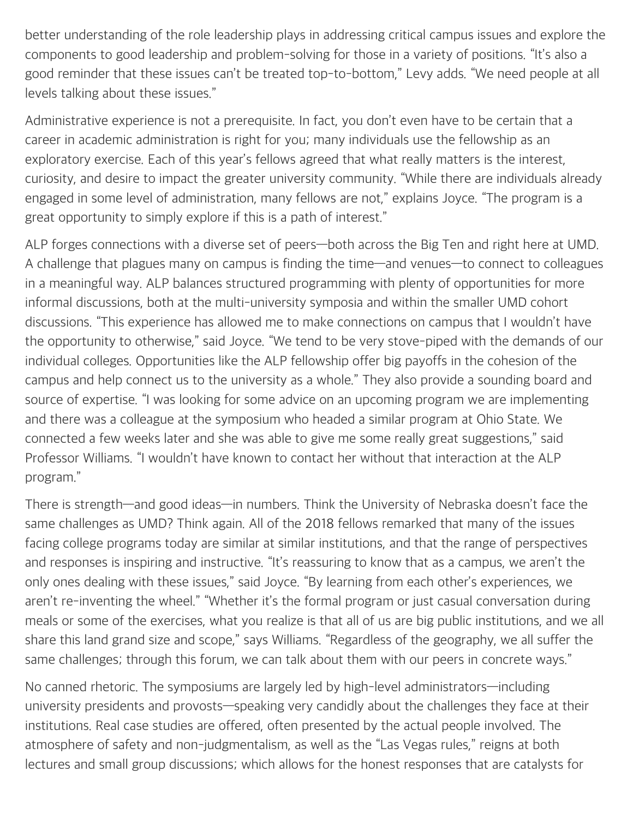better understanding of the role leadership plays in addressing critical campus issues and explore the components to good leadership and problem-solving for those in a variety of positions. "It's also a good reminder that these issues can't be treated top-to-bottom," Levy adds. "We need people at all levels talking about these issues."

Administrative experience is not a prerequisite. In fact, you don't even have to be certain that a career in academic administration is right for you; many individuals use the fellowship as an exploratory exercise. Each of this year's fellows agreed that what really matters is the interest, curiosity, and desire to impact the greater university community. "While there are individuals already engaged in some level of administration, many fellows are not," explains Joyce. "The program is a great opportunity to simply explore if this is a path of interest."

ALP forges connections with a diverse set of peers—both across the Big Ten and right here at UMD. A challenge that plagues many on campus is finding the time—and venues—to connect to colleagues in a meaningful way. ALP balances structured programming with plenty of opportunities for more informal discussions, both at the multi-university symposia and within the smaller UMD cohort discussions. "This experience has allowed me to make connections on campus that I wouldn't have the opportunity to otherwise," said Joyce. "We tend to be very stove-piped with the demands of our individual colleges. Opportunities like the ALP fellowship offer big payoffs in the cohesion of the campus and help connect us to the university as a whole." They also provide a sounding board and source of expertise. "I was looking for some advice on an upcoming program we are implementing and there was a colleague at the symposium who headed a similar program at Ohio State. We connected a few weeks later and she was able to give me some really great suggestions," said Professor Williams. "I wouldn't have known to contact her without that interaction at the ALP program."

There is strength—and good ideas—in numbers. Think the University of Nebraska doesn't face the same challenges as UMD? Think again. All of the 2018 fellows remarked that many of the issues facing college programs today are similar at similar institutions, and that the range of perspectives and responses is inspiring and instructive. "It's reassuring to know that as a campus, we aren't the only ones dealing with these issues," said Joyce. "By learning from each other's experiences, we aren't re-inventing the wheel." "Whether it's the formal program or just casual conversation during meals or some of the exercises, what you realize is that all of us are big public institutions, and we all share this land grand size and scope," says Williams. "Regardless of the geography, we all suffer the same challenges; through this forum, we can talk about them with our peers in concrete ways."

No canned rhetoric. The symposiums are largely led by high-level administrators—including university presidents and provosts—speaking very candidly about the challenges they face at their institutions. Real case studies are offered, often presented by the actual people involved. The atmosphere of safety and non-judgmentalism, as well as the "Las Vegas rules," reigns at both lectures and small group discussions; which allows for the honest responses that are catalysts for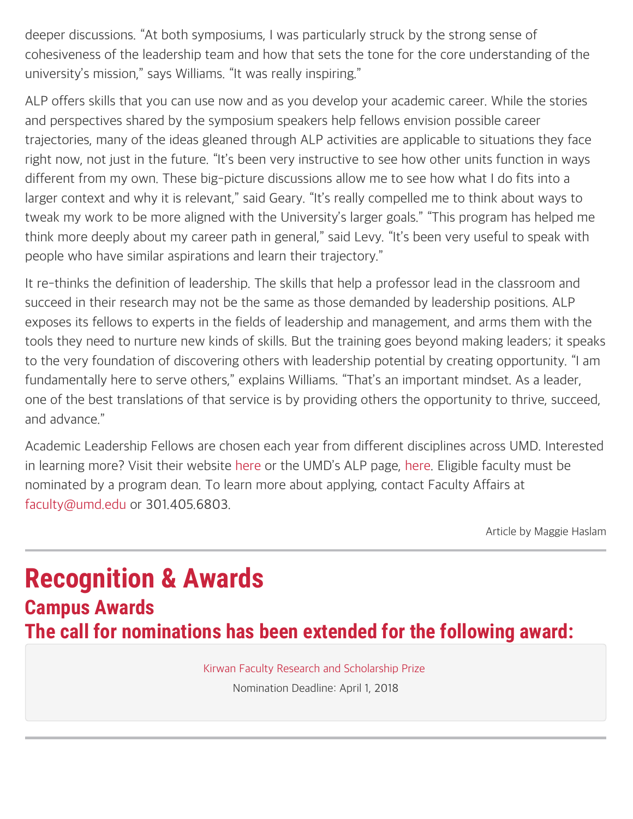deeper discussions. "At both symposiums, I was particularly struck by the strong sense of cohesiveness of the leadership team and how that sets the tone for the core understanding of the university's mission," says Williams. "It was really inspiring."

ALP offers skills that you can use now and as you develop your academic career. While the stories and perspectives shared by the symposium speakers help fellows envision possible career trajectories, many of the ideas gleaned through ALP activities are applicable to situations they face right now, not just in the future. "It's been very instructive to see how other units function in ways different from my own. These big-picture discussions allow me to see how what I do fits into a larger context and why it is relevant," said Geary. "It's really compelled me to think about ways to tweak my work to be more aligned with the University's larger goals." "This program has helped me think more deeply about my career path in general," said Levy. "It's been very useful to speak with people who have similar aspirations and learn their trajectory."

It re-thinks the definition of leadership. The skills that help a professor lead in the classroom and succeed in their research may not be the same as those demanded by leadership positions. ALP exposes its fellows to experts in the fields of leadership and management, and arms them with the tools they need to nurture new kinds of skills. But the training goes beyond making leaders; it speaks to the very foundation of discovering others with leadership potential by creating opportunity. "I am fundamentally here to serve others," explains Williams. "That's an important mindset. As a leader, one of the best translations of that service is by providing others the opportunity to thrive, succeed, and advance."

Academic Leadership Fellows are chosen each year from different disciplines across UMD. Interested in learning more? Visit their website [here](https://www.btaa.org/leadership/alp/introduction) or the UMD's ALP page, [here.](https://faculty.umd.edu/awards/list_alf.html) Eligible faculty must be nominated by a program dean. To learn more about applying, contact Faculty Affairs at [faculty@umd.edu](mailto:faculty@umd.edu) or 301.405.6803.

Article by Maggie Haslam

## **Recognition & Awards Campus Awards The call for nominations has been extended for the following award:**

[Kirwan Faculty Research and Scholarship Prize](https://gradschool.umd.edu/funding/faculty-and-staff-awards/kirwan-graduate-scholarship-and-research-prize) Nomination Deadline: April 1, 2018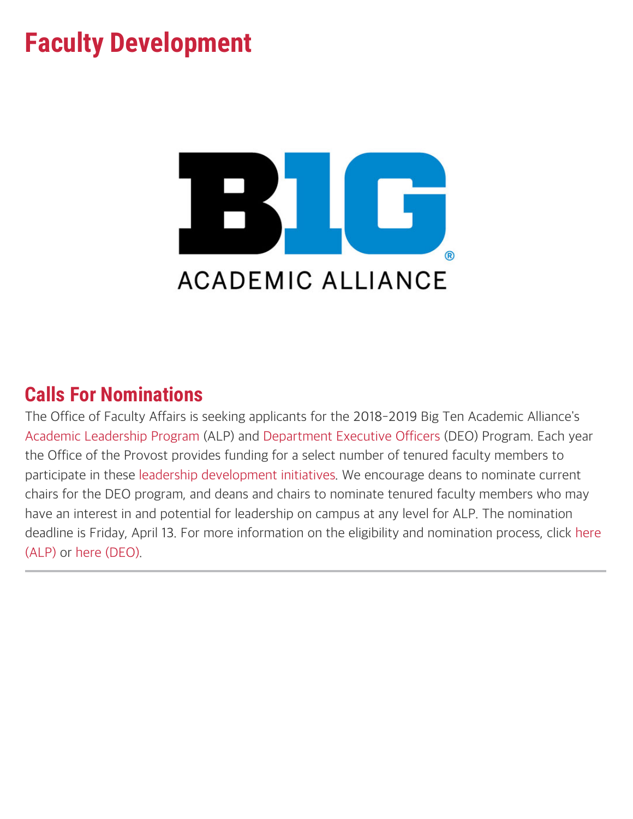## **Faculty Development**



## **Calls For Nominations**

The Office of Faculty Affairs is seeking applicants for the 2018-2019 Big Ten Academic Alliance's [Academic Leadership Program](http://www.btaa.org/leadership/alp/introduction) (ALP) and [Department Executive Officers](http://www.btaa.org/leadership/deo/introduction) (DEO) Program. Each year the Office of the Provost provides funding for a select number of tenured faculty members to participate in these [leadership development initiatives.](https://www.btaa.org/leadership) We encourage deans to nominate current chairs for the DEO program, and deans and chairs to nominate tenured faculty members who may have an interest in and potential for leadership on campus at any level for ALP. The nomination deadline is Friday, April 13. For more information on the eligibility and nomination process, click [here](https://faculty.umd.edu/awards/documents/alpinfo.pdf) [\(ALP\)](https://faculty.umd.edu/awards/documents/alpinfo.pdf) or [here \(DEO\)](https://faculty.umd.edu/awards/documents/deoinfo.pdf).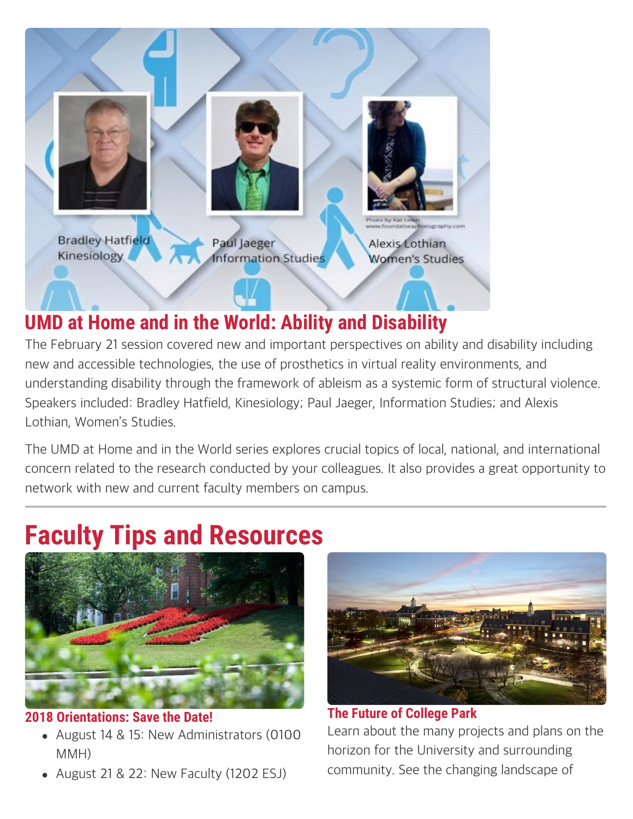

## **UMD at Home and in the World: Ability and Disability**

The February 21 session covered new and important perspectives on ability and disability including new and accessible technologies, the use of prosthetics in virtual reality environments, and understanding disability through the framework of ableism as a systemic form of structural violence. Speakers included: Bradley Hatfield, Kinesiology; Paul Jaeger, Information Studies; and Alexis Lothian, Women's Studies.

The UMD at Home and in the World series explores crucial topics of local, national, and international concern related to the research conducted by your colleagues. It also provides a great opportunity to network with new and current faculty members on campus.

# **Faculty Tips and Resources**



#### **2018 Orientations: Save the Date!**

- August 14 & 15: New Administrators (0100 MMH)
- August 21 & 22: New Faculty (1202 ESJ)



### **The Future of College Park** Learn about the many projects and plans on the horizon for the University and surrounding community. See the changing landscape of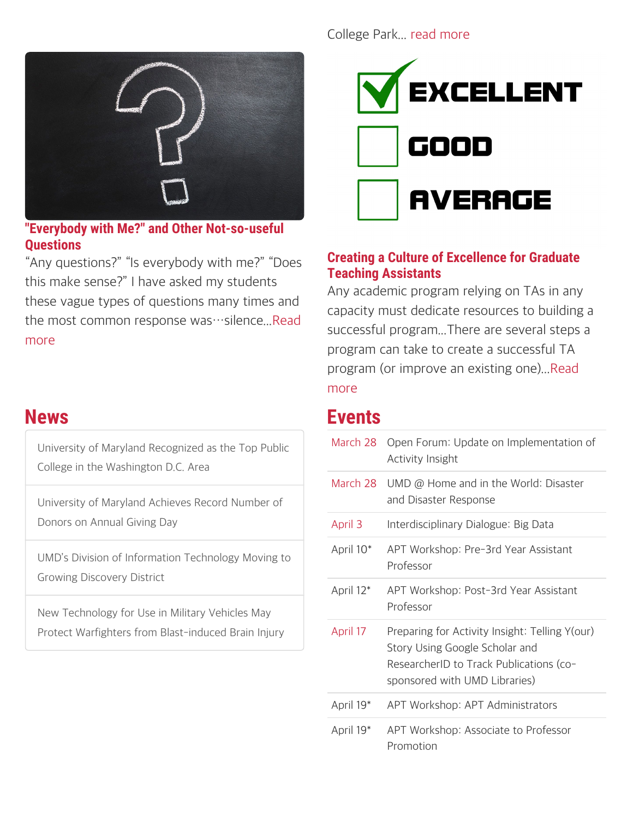

**"Everybody with Me?" and Other Not-so-useful Questions**

"Any questions?" "Is everybody with me?" "Does this make sense?" I have asked my students these vague types of questions many times and the most common response was…silence..[.Read](https://www.facultyfocus.com/articles/teaching-and-learning/bad-questions-prompts/) [more](https://www.facultyfocus.com/articles/teaching-and-learning/bad-questions-prompts/)

### **News**

[University of Maryland Recognized as the Top Public](https://www.umdrightnow.umd.edu/news/university-maryland-recognized-top-public-college-washington-dc-area-0) [College in the Washington D.C. Area](https://www.umdrightnow.umd.edu/news/university-maryland-recognized-top-public-college-washington-dc-area-0)

[University of Maryland Achieves Record Number of](https://www.umdrightnow.umd.edu/news/university-maryland-achieves-record-number-donors-annual-giving-day) [Donors on Annual Giving Day](https://www.umdrightnow.umd.edu/news/university-maryland-achieves-record-number-donors-annual-giving-day)

[UMD's Division of Information Technology Moving to](https://www.umdrightnow.umd.edu/news/umd%E2%80%99s-division-information-technology-moving-growing-discovery-district) [Growing Discovery District](https://www.umdrightnow.umd.edu/news/umd%E2%80%99s-division-information-technology-moving-growing-discovery-district)

[New Technology for Use in Military Vehicles May](https://www.umdrightnow.umd.edu/news/new-technology-use-military-vehicles-may-protect-warfighters-blast-induced-brain-injury) [Protect Warfighters from Blast-induced Brain Injury](https://www.umdrightnow.umd.edu/news/new-technology-use-military-vehicles-may-protect-warfighters-blast-induced-brain-injury)

#### College Park... [read more](https://greatercollegepark.umd.edu/)



#### **Creating a Culture of Excellence for Graduate Teaching Assistants**

Any academic program relying on TAs in any capacity must dedicate resources to building a successful program...There are several steps a program can take to create a successful TA program (or improve an existing one)..[.Read](https://www.facultyfocus.com/articles/teaching-and-learning/creating-a-culture-of-excellence-for-graduate-teaching-assistants/?utm_campaign=Faculty%20Focus&utm_source=hs_email&utm_medium=email&utm_content=56669268&_hsenc=p2ANqtz--O3TEzeF2ebZUOrVbblSXMQ2ggEUkcf9QzYhgKMGyuFEY0pNBHxbsm8EQ6PJve8R5Ow1urWcAYQ2MF03WbYrAhWHR9yw&_hsmi=56669268) [more](https://www.facultyfocus.com/articles/teaching-and-learning/creating-a-culture-of-excellence-for-graduate-teaching-assistants/?utm_campaign=Faculty%20Focus&utm_source=hs_email&utm_medium=email&utm_content=56669268&_hsenc=p2ANqtz--O3TEzeF2ebZUOrVbblSXMQ2ggEUkcf9QzYhgKMGyuFEY0pNBHxbsm8EQ6PJve8R5Ow1urWcAYQ2MF03WbYrAhWHR9yw&_hsmi=56669268)

## **Events**

| March 28              | Open Forum: Update on Implementation of<br><b>Activity Insight</b>                                                                                           |
|-----------------------|--------------------------------------------------------------------------------------------------------------------------------------------------------------|
| March 28              | UMD @ Home and in the World: Disaster<br>and Disaster Response                                                                                               |
| April 3               | Interdisciplinary Dialogue: Big Data                                                                                                                         |
| April 10 <sup>*</sup> | APT Workshop: Pre-3rd Year Assistant<br>Professor                                                                                                            |
| April 12*             | APT Workshop: Post-3rd Year Assistant<br>Professor                                                                                                           |
| April 17              | Preparing for Activity Insight: Telling Y(our)<br>Story Using Google Scholar and<br>ResearcherID to Track Publications (co-<br>sponsored with UMD Libraries) |
| April 19*             | APT Workshop: APT Administrators                                                                                                                             |
| April 19*             | APT Workshop: Associate to Professor<br>Promotion                                                                                                            |